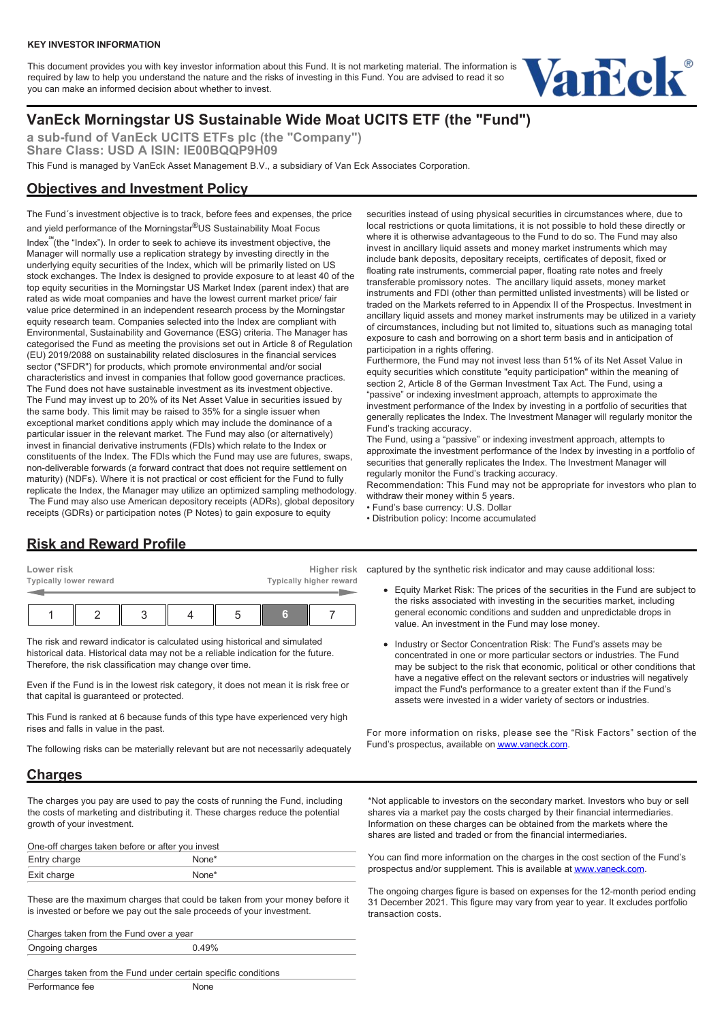This document provides you with key investor information about this Fund. It is not marketing material. The information is required by law to help you understand the nature and the risks of investing in this Fund. You are advised to read it so you can make an informed decision about whether to invest.



# **VanEck Morningstar US Sustainable Wide Moat UCITS ETF (the "Fund")**

**a sub-fund of VanEck UCITS ETFs plc (the "Company") Share Class: USD A ISIN: IE00BQQP9H09**

This Fund is managed by VanEck Asset Management B.V., a subsidiary of Van Eck Associates Corporation.

## **Objectives and Investment Policy**

The Fund´s investment objective is to track, before fees and expenses, the price and yield performance of the Morningstar<sup>®</sup>US Sustainability Moat Focus Index℠(the "Index"). In order to seek to achieve its investment objective, the Manager will normally use a replication strategy by investing directly in the underlying equity securities of the Index, which will be primarily listed on US stock exchanges. The Index is designed to provide exposure to at least 40 of the top equity securities in the Morningstar US Market Index (parent index) that are rated as wide moat companies and have the lowest current market price/ fair value price determined in an independent research process by the Morningstar equity research team. Companies selected into the Index are compliant with Environmental, Sustainability and Governance (ESG) criteria. The Manager has categorised the Fund as meeting the provisions set out in Article 8 of Regulation (EU) 2019/2088 on sustainability related disclosures in the financial services sector ("SFDR") for products, which promote environmental and/or social characteristics and invest in companies that follow good governance practices. The Fund does not have sustainable investment as its investment objective. The Fund may invest up to 20% of its Net Asset Value in securities issued by the same body. This limit may be raised to 35% for a single issuer when exceptional market conditions apply which may include the dominance of a particular issuer in the relevant market. The Fund may also (or alternatively) invest in financial derivative instruments (FDIs) which relate to the Index or constituents of the Index. The FDIs which the Fund may use are futures, swaps, non-deliverable forwards (a forward contract that does not require settlement on maturity) (NDFs). Where it is not practical or cost efficient for the Fund to fully replicate the Index, the Manager may utilize an optimized sampling methodology. The Fund may also use American depository receipts (ADRs), global depository receipts (GDRs) or participation notes (P Notes) to gain exposure to equity

securities instead of using physical securities in circumstances where, due to local restrictions or quota limitations, it is not possible to hold these directly or where it is otherwise advantageous to the Fund to do so. The Fund may also invest in ancillary liquid assets and money market instruments which may include bank deposits, depositary receipts, certificates of deposit, fixed or floating rate instruments, commercial paper, floating rate notes and freely transferable promissory notes. The ancillary liquid assets, money market instruments and FDI (other than permitted unlisted investments) will be listed or traded on the Markets referred to in Appendix II of the Prospectus. Investment in ancillary liquid assets and money market instruments may be utilized in a variety of circumstances, including but not limited to, situations such as managing total exposure to cash and borrowing on a short term basis and in anticipation of participation in a rights offering.

Furthermore, the Fund may not invest less than 51% of its Net Asset Value in equity securities which constitute "equity participation" within the meaning of section 2, Article 8 of the German Investment Tax Act. The Fund, using a "passive" or indexing investment approach, attempts to approximate the investment performance of the Index by investing in a portfolio of securities that generally replicates the Index. The Investment Manager will regularly monitor the Fund's tracking accuracy.

The Fund, using a "passive" or indexing investment approach, attempts to approximate the investment performance of the Index by investing in a portfolio of securities that generally replicates the Index. The Investment Manager will regularly monitor the Fund's tracking accuracy.

Recommendation: This Fund may not be appropriate for investors who plan to withdraw their money within 5 years.

• Fund's base currency: U.S. Dollar

• Distribution policy: Income accumulated

### **Risk and Reward Profile**

| Lower risk<br><b>Typically lower reward</b> |  | Higher risk<br>Typically higher reward |   |  |  |
|---------------------------------------------|--|----------------------------------------|---|--|--|
|                                             |  | b                                      | F |  |  |

The risk and reward indicator is calculated using historical and simulated historical data. Historical data may not be a reliable indication for the future. Therefore, the risk classification may change over time.

Even if the Fund is in the lowest risk category, it does not mean it is risk free or that capital is guaranteed or protected.

This Fund is ranked at 6 because funds of this type have experienced very high rises and falls in value in the past.

The following risks can be materially relevant but are not necessarily adequately

#### **Charges**

The charges you pay are used to pay the costs of running the Fund, including the costs of marketing and distributing it. These charges reduce the potential growth of your investment.

One-off charges taken before or after you invest

| Entry charge |       |
|--------------|-------|
| Exit charge  | uone* |
|              |       |

These are the maximum charges that could be taken from your money before it is invested or before we pay out the sale proceeds of your investment.

| Charges taken from the Fund over a year |       |  |  |  |
|-----------------------------------------|-------|--|--|--|
| Ongoing charges                         | 0.49% |  |  |  |

Charges taken from the Fund under certain specific conditions Performance fee None

captured by the synthetic risk indicator and may cause additional loss:

- Equity Market Risk: The prices of the securities in the Fund are subject to the risks associated with investing in the securities market, including general economic conditions and sudden and unpredictable drops in value. An investment in the Fund may lose money.
- Industry or Sector Concentration Risk: The Fund's assets may be concentrated in one or more particular sectors or industries. The Fund may be subject to the risk that economic, political or other conditions that have a negative effect on the relevant sectors or industries will negatively impact the Fund's performance to a greater extent than if the Fund's assets were invested in a wider variety of sectors or industries.

For more information on risks, please see the "Risk Factors" section of the Fund's prospectus, available on [www.vaneck.com.](https://www.vaneck.com)

\*Not applicable to investors on the secondary market. Investors who buy or sell shares via a market pay the costs charged by their financial intermediaries. Information on these charges can be obtained from the markets where the shares are listed and traded or from the financial intermediaries.

You can find more information on the charges in the cost section of the Fund's prospectus and/or supplement. This is available at [www.vaneck.com](https://www.vaneck.com).

The ongoing charges figure is based on expenses for the 12-month period ending 31 December 2021. This figure may vary from year to year. It excludes portfolio transaction costs.